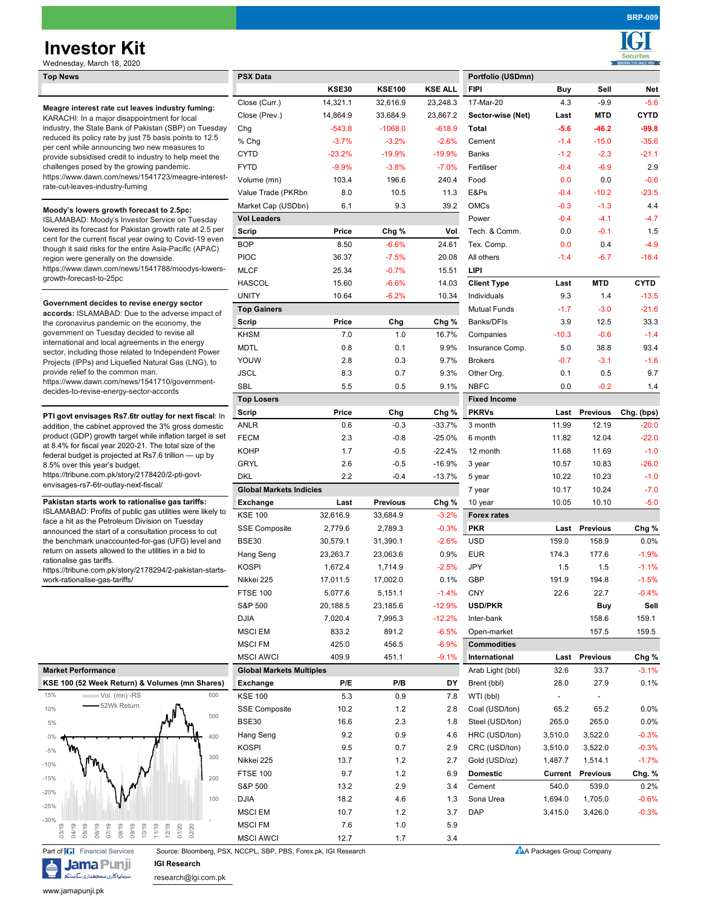# **Investor Kit**

**BRP-009**

| Wednesday, March 18, 2020                                                                                                                                                  |                                 |              |                 |                |                     |                          |                 | <b>SERVING YOU SINCE 1994</b> |
|----------------------------------------------------------------------------------------------------------------------------------------------------------------------------|---------------------------------|--------------|-----------------|----------------|---------------------|--------------------------|-----------------|-------------------------------|
| <b>Top News</b>                                                                                                                                                            | <b>PSX Data</b>                 |              |                 |                | Portfolio (USDmn)   |                          |                 |                               |
|                                                                                                                                                                            |                                 | <b>KSE30</b> | <b>KSE100</b>   | <b>KSE ALL</b> | <b>FIPI</b>         | Buy                      | Sell            | Net                           |
| Meagre interest rate cut leaves industry fuming:                                                                                                                           | Close (Curr.)                   | 14,321.1     | 32,616.9        | 23,248.3       | 17-Mar-20           | 4.3                      | $-9.9$          | $-5.6$                        |
| KARACHI: In a major disappointment for local                                                                                                                               | Close (Prev.)                   | 14,864.9     | 33,684.9        | 23,867.2       | Sector-wise (Net)   | Last                     | <b>MTD</b>      | <b>CYTD</b>                   |
| industry, the State Bank of Pakistan (SBP) on Tuesday                                                                                                                      | Chg                             | $-543.8$     | $-1068.0$       | $-618.9$       | Total               | $-5.6$                   | $-46.2$         | $-99.8$                       |
| reduced its policy rate by just 75 basis points to 12.5                                                                                                                    | % Chg                           | $-3.7%$      | $-3.2%$         | $-2.6%$        | Cement              | $-1.4$                   | $-15.0$         | $-35.6$                       |
| per cent while announcing two new measures to<br>provide subsidised credit to industry to help meet the                                                                    | <b>CYTD</b>                     | $-23.2%$     | $-19.9%$        | $-19.9%$       | <b>Banks</b>        | $-1.2$                   | $-2.3$          | $-21.1$                       |
| challenges posed by the growing pandemic.                                                                                                                                  | <b>FYTD</b>                     | $-9.9%$      | $-3.8%$         | $-7.0%$        | Fertiliser          | $-0.4$                   | $-6.9$          | 2.9                           |
| https://www.dawn.com/news/1541723/meagre-interest-                                                                                                                         | Volume (mn)                     | 103.4        | 196.6           | 240.4          | Food                | 0.0                      | 0.0             | $-0.6$                        |
| rate-cut-leaves-industry-fuming                                                                                                                                            | Value Trade (PKRbn)             | 8.0          | 10.5            | 11.3           | E&Ps                | $-0.4$                   | $-10.2$         | $-23.5$                       |
|                                                                                                                                                                            | Market Cap (USDbn)              | 6.1          | 9.3             | 39.2           | <b>OMCs</b>         | $-0.3$                   | $-1.3$          | 4.4                           |
| Moody's lowers growth forecast to 2.5pc:<br>ISLAMABAD: Moody's Investor Service on Tuesday                                                                                 | <b>Vol Leaders</b>              |              |                 |                | Power               | $-0.4$                   | $-4.1$          | $-4.7$                        |
| lowered its forecast for Pakistan growth rate at 2.5 per                                                                                                                   | Scrip                           | Price        | Chg %           | Vol            | Tech. & Comm.       | 0.0                      | $-0.1$          | 1.5                           |
| cent for the current fiscal year owing to Covid-19 even                                                                                                                    | <b>BOP</b>                      | 8.50         | $-6.6%$         | 24.61          | Tex. Comp.          | 0.0                      | 0.4             | $-4.9$                        |
| though it said risks for the entire Asia-Pacific (APAC)                                                                                                                    |                                 |              | $-7.5%$         |                | All others          | $-1.4$                   | $-6.7$          | $-18.4$                       |
| region were generally on the downside.<br>https://www.dawn.com/news/1541788/moodys-lowers-                                                                                 | <b>PIOC</b>                     | 36.37        |                 | 20.08          |                     |                          |                 |                               |
| growth-forecast-to-25pc                                                                                                                                                    | <b>MLCF</b>                     | 25.34        | $-0.7%$         | 15.51          | <b>LIPI</b>         |                          |                 |                               |
|                                                                                                                                                                            | <b>HASCOL</b>                   | 15.60        | $-6.6%$         | 14.03          | <b>Client Type</b>  | Last                     | <b>MTD</b>      | <b>CYTD</b>                   |
| Government decides to revise energy sector                                                                                                                                 | <b>UNITY</b>                    | 10.64        | $-6.2%$         | 10.34          | Individuals         | 9.3                      | 1.4             | $-13.5$                       |
| accords: ISLAMABAD: Due to the adverse impact of                                                                                                                           | <b>Top Gainers</b>              |              |                 |                | <b>Mutual Funds</b> | $-1.7$                   | $-3.0$          | $-21.6$                       |
| the coronavirus pandemic on the economy, the                                                                                                                               | Scrip                           | Price        | Chg             | Chg %          | Banks/DFIs          | 3.9                      | 12.5            | 33.3                          |
| government on Tuesday decided to revise all                                                                                                                                | <b>KHSM</b>                     | 7.0          | 1.0             | 16.7%          | Companies           | $-10.3$                  | $-0.6$          | $-1.4$                        |
| international and local agreements in the energy<br>sector, including those related to Independent Power                                                                   | <b>MDTL</b>                     | 0.8          | 0.1             | 9.9%           | Insurance Comp.     | 5.0                      | 38.8            | 93.4                          |
| Projects (IPPs) and Liquefied Natural Gas (LNG), to                                                                                                                        | YOUW                            | 2.8          | 0.3             | 9.7%           | <b>Brokers</b>      | $-0.7$                   | $-3.1$          | $-1.6$                        |
| provide relief to the common man.                                                                                                                                          | <b>JSCL</b>                     | 8.3          | 0.7             | 9.3%           | Other Org.          | 0.1                      | 0.5             | 9.7                           |
| https://www.dawn.com/news/1541710/government-<br>decides-to-revise-energy-sector-accords                                                                                   | <b>SBL</b>                      | 5.5          | 0.5             | 9.1%           | <b>NBFC</b>         | 0.0                      | $-0.2$          | 1.4                           |
|                                                                                                                                                                            | <b>Top Losers</b>               |              |                 |                | <b>Fixed Income</b> |                          |                 |                               |
|                                                                                                                                                                            | Scrip                           | Price        | Chg             | Chg %          | <b>PKRVs</b>        |                          | Last Previous   | Chg. (bps)                    |
| PTI govt envisages Rs7.6tr outlay for next fiscal: In<br>addition, the cabinet approved the 3% gross domestic<br>product (GDP) growth target while inflation target is set | <b>ANLR</b>                     | 0.6          | $-0.3$          | $-33.7%$       | 3 month             | 11.99                    | 12.19           | $-20.0$                       |
|                                                                                                                                                                            | <b>FECM</b>                     | 2.3          | $-0.8$          | $-25.0%$       | 6 month             | 11.82                    | 12.04           | $-22.0$                       |
| at 8.4% for fiscal year 2020-21. The total size of the                                                                                                                     | <b>KOHP</b>                     | 1.7          | $-0.5$          | $-22.4%$       | 12 month            | 11.68                    | 11.69           | $-1.0$                        |
| federal budget is projected at Rs7.6 trillion - up by<br>8.5% over this year's budget.                                                                                     | <b>GRYL</b>                     | 2.6          | $-0.5$          | $-16.9%$       | 3 year              | 10.57                    | 10.83           | $-26.0$                       |
| https://tribune.com.pk/story/2178420/2-pti-govt-                                                                                                                           | <b>DKL</b>                      | 2.2          | -0.4            | $-13.7%$       | 5 year              | 10.22                    | 10.23           | $-1.0$                        |
| envisages-rs7-6tr-outlay-next-fiscal/                                                                                                                                      | <b>Global Markets Indicies</b>  |              |                 |                | 7 year              | 10.17                    | 10.24           | $-7.0$                        |
| Pakistan starts work to rationalise gas tariffs:                                                                                                                           | <b>Exchange</b>                 |              | <b>Previous</b> |                |                     | 10.05                    | 10.10           | $-5.0$                        |
| ISLAMABAD: Profits of public gas utilities were likely to                                                                                                                  |                                 | Last         |                 | Chg %          | 10 year             |                          |                 |                               |
| face a hit as the Petroleum Division on Tuesday                                                                                                                            | <b>KSE 100</b>                  | 32,616.9     | 33,684.9        | $-3.2%$        | <b>Forex rates</b>  |                          |                 |                               |
| announced the start of a consultation process to cut                                                                                                                       | <b>SSE Composite</b>            | 2,779.6      | 2,789.3         | $-0.3%$        | <b>PKR</b>          |                          | Last Previous   | Chg %                         |
| the benchmark unaccounted-for-gas (UFG) level and<br>return on assets allowed to the utilities in a bid to                                                                 | <b>BSE30</b>                    | 30,579.1     | 31,390.1        | $-2.6%$        | <b>USD</b>          | 159.0                    | 158.9           | 0.0%                          |
| rationalise gas tariffs.                                                                                                                                                   | Hang Seng                       | 23,263.7     | 23,063.6        | 0.9%           | <b>EUR</b>          | 174.3                    | 177.6           | $-1.9%$                       |
| https://tribune.com.pk/story/2178294/2-pakistan-starts-                                                                                                                    | <b>KOSPI</b>                    | 1,672.4      | 1,714.9         | $-2.5%$        | JPY                 | 1.5                      | 1.5             | $-1.1%$                       |
| work-rationalise-gas-tariffs/                                                                                                                                              | Nikkei 225                      | 17,011.5     | 17,002.0        | 0.1%           | <b>GBP</b>          | 191.9                    | 194.8           | $-1.5%$                       |
|                                                                                                                                                                            | <b>FTSE 100</b>                 | 5,077.6      | 5,151.1         | $-1.4%$        | <b>CNY</b>          | 22.6                     | 22.7            | $-0.4%$                       |
|                                                                                                                                                                            | S&P 500                         | 20,188.5     | 23,185.6        | $-12.9%$       | <b>USD/PKR</b>      |                          | Buy             | Sell                          |
|                                                                                                                                                                            | <b>DJIA</b>                     | 7,020.4      | 7,995.3         | $-12.2%$       | Inter-bank          |                          | 158.6           | 159.1                         |
|                                                                                                                                                                            | <b>MSCI EM</b>                  | 833.2        | 891.2           | $-6.5%$        | Open-market         |                          | 157.5           | 159.5                         |
|                                                                                                                                                                            | <b>MSCI FM</b>                  | 425.0        | 456.5           | $-6.9%$        | <b>Commodities</b>  |                          |                 |                               |
|                                                                                                                                                                            | <b>MSCI AWCI</b>                | 409.9        | 451.1           | $-9.1%$        | International       |                          | Last Previous   | Chg %                         |
| <b>Market Performance</b>                                                                                                                                                  | <b>Global Markets Multiples</b> |              |                 |                | Arab Light (bbl)    | 32.6                     | 33.7            | $-3.1%$                       |
| KSE 100 (52 Week Return) & Volumes (mn Shares)                                                                                                                             | Exchange                        | P/E          | P/B             | DY             | Brent (bbl)         | 28.0                     | 27.9            | 0.1%                          |
| 15%<br>600<br>Vol. (mn) -RS                                                                                                                                                | <b>KSE 100</b>                  | 5.3          | 0.9             | 7.8            | WTI (bbl)           | $\overline{\phantom{a}}$ |                 |                               |
| 52Wk Return<br>10%                                                                                                                                                         | SSE Composite                   | 10.2         | 1.2             | 2.8            | Coal (USD/ton)      | 65.2                     | 65.2            | 0.0%                          |
| 500<br>$5\%$                                                                                                                                                               | <b>BSE30</b>                    | 16.6         | 2.3             | 1.8            | Steel (USD/ton)     | 265.0                    | 265.0           | 0.0%                          |
|                                                                                                                                                                            |                                 | 9.2          |                 |                |                     |                          |                 |                               |
| 400<br>0%                                                                                                                                                                  | Hang Seng                       |              | 0.9             | 4.6            | HRC (USD/ton)       | 3,510.0                  | 3,522.0         | $-0.3%$                       |
| $-5%$<br>300                                                                                                                                                               | <b>KOSPI</b>                    | 9.5          | 0.7             | 2.9            | CRC (USD/ton)       | 3,510.0                  | 3,522.0         | $-0.3%$                       |
| $-10%$                                                                                                                                                                     | Nikkei 225                      | 13.7         | 1.2             | 2.7            | Gold (USD/oz)       | 1,487.7                  | 1,514.1         | $-1.7%$                       |
| $-15%$<br>200                                                                                                                                                              | <b>FTSE 100</b>                 | 9.7          | 1.2             | 6.9            | <b>Domestic</b>     | Current                  | <b>Previous</b> | Chg. %                        |
| $-20%$                                                                                                                                                                     | S&P 500                         | 13.2         | 2.9             | 3.4            | Cement              | 540.0                    | 539.0           | 0.2%                          |
| 100<br>$-25%$                                                                                                                                                              | <b>DJIA</b>                     | 18.2         | 4.6             | 1.3            | Sona Urea           | 1,694.0                  | 1,705.0         | $-0.6%$                       |
|                                                                                                                                                                            | <b>MSCI EM</b>                  | 10.7         | 1.2             | 3.7            | <b>DAP</b>          | 3,415.0                  | 3,426.0         | $-0.3%$                       |
| $-30%$<br>11/19<br>12/19<br>01/20                                                                                                                                          | <b>MSCI FM</b>                  | 7.6          | 1.0             | 5.9            |                     |                          |                 |                               |
| 03/19<br>04/19<br>05/19<br>07/19<br>08/19<br>02/20<br>06/19<br>09/19<br>10/19                                                                                              | <b>MSCI AWCI</b>                | 12.7         | 1.7             | 3.4            |                     |                          |                 |                               |

|                            |                                                                |  |  |  |             |  |  |     |  |  |  | KSE 100 (52 Week Return) & Volumes (mn Shares) |
|----------------------------|----------------------------------------------------------------|--|--|--|-------------|--|--|-----|--|--|--|------------------------------------------------|
| 15%                        | ∣Vol. (mn) -RS                                                 |  |  |  |             |  |  | 600 |  |  |  |                                                |
| 10%                        |                                                                |  |  |  | 52Wk Return |  |  |     |  |  |  | 500                                            |
| 5%                         |                                                                |  |  |  |             |  |  |     |  |  |  |                                                |
| $0\%$                      |                                                                |  |  |  |             |  |  |     |  |  |  | 400                                            |
| $-5%$                      |                                                                |  |  |  |             |  |  |     |  |  |  | 300                                            |
| $-10%$                     |                                                                |  |  |  |             |  |  |     |  |  |  |                                                |
| $-15%$                     |                                                                |  |  |  |             |  |  |     |  |  |  | 200                                            |
| $-20%$                     |                                                                |  |  |  |             |  |  |     |  |  |  | 100                                            |
| $-25%$                     |                                                                |  |  |  |             |  |  |     |  |  |  |                                                |
| $-30%$                     |                                                                |  |  |  |             |  |  |     |  |  |  |                                                |
|                            |                                                                |  |  |  |             |  |  |     |  |  |  |                                                |
|                            | Part of <b>[G]</b> Financial Services<br>Source: Bloomberg, PS |  |  |  |             |  |  |     |  |  |  |                                                |
| <b>IGI Research</b><br>ama |                                                                |  |  |  |             |  |  |     |  |  |  |                                                |

research@igi.com.pk

www.jamapunji.pk

سرمایه کاری سمجهداری کے ساتھ

PSX, NCCPL, SBP, PBS, Forex.pk, IGI Research A Packages Group Company